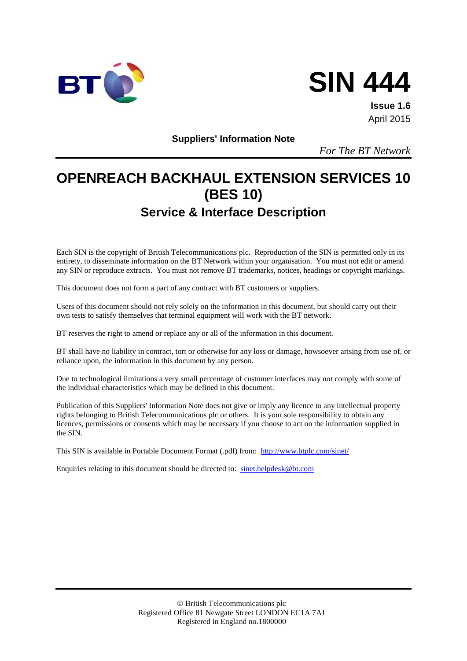



**Issue 1.6** April 2015

**Suppliers' Information Note**

*For The BT Network*

# **OPENREACH BACKHAUL EXTENSION SERVICES 10 (BES 10) Service & Interface Description**

Each SIN is the copyright of British Telecommunications plc. Reproduction of the SIN is permitted only in its entirety, to disseminate information on the BT Network within your organisation. You must not edit or amend any SIN or reproduce extracts. You must not remove BT trademarks, notices, headings or copyright markings.

This document does not form a part of any contract with BT customers or suppliers.

Users of this document should not rely solely on the information in this document, but should carry out their own tests to satisfy themselves that terminal equipment will work with the BT network.

BT reserves the right to amend or replace any or all of the information in this document.

BT shall have no liability in contract, tort or otherwise for any loss or damage, howsoever arising from use of, or reliance upon, the information in this document by any person.

Due to technological limitations a very small percentage of customer interfaces may not comply with some of the individual characteristics which may be defined in this document.

Publication of this Suppliers' Information Note does not give or imply any licence to any intellectual property rights belonging to British Telecommunications plc or others. It is your sole responsibility to obtain any licences, permissions or consents which may be necessary if you choose to act on the information supplied in the SIN.

This SIN is available in Portable Document Format (.pdf) from: <http://www.btplc.com/sinet/>

Enquiries relating to this document should be directed to: [sinet.helpdesk@bt.com](mailto:sinet.helpdesk@bt.com)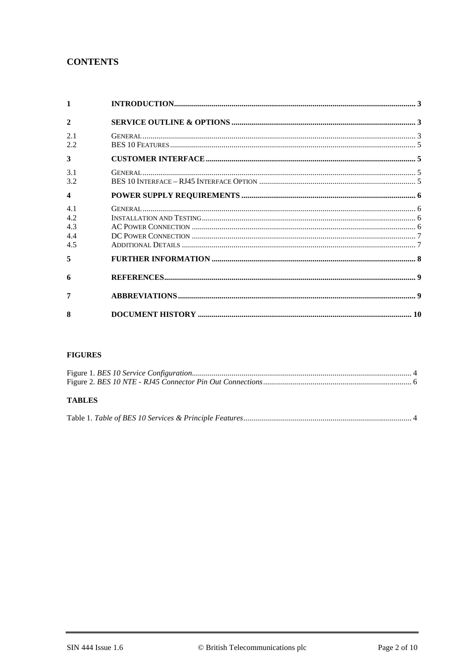# **CONTENTS**

| $\mathbf{1}$     |  |
|------------------|--|
| $\mathbf{2}$     |  |
| 2.1<br>2.2       |  |
| 3                |  |
| 3.1<br>3.2       |  |
| $\boldsymbol{4}$ |  |
| 41               |  |
| 4.2              |  |
| 4.3              |  |
| 4.4              |  |
| 4.5              |  |
| 5                |  |
| 6                |  |
| 7                |  |
| 8                |  |

#### **FIGURES**

## **TABLES**

|--|--|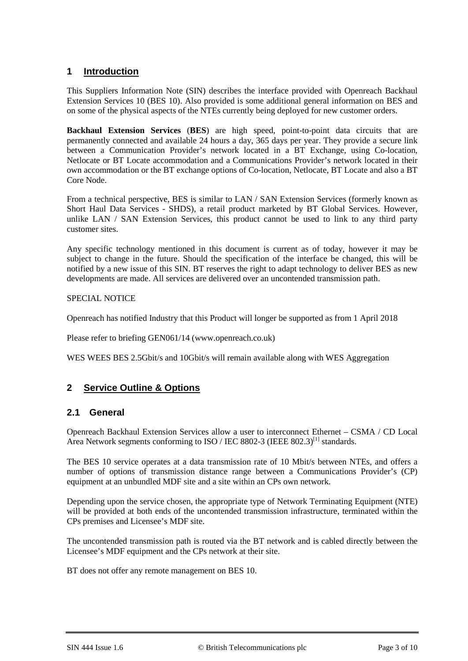## **1 Introduction**

This Suppliers Information Note (SIN) describes the interface provided with Openreach Backhaul Extension Services 10 (BES 10). Also provided is some additional general information on BES and on some of the physical aspects of the NTEs currently being deployed for new customer orders.

**Backhaul Extension Services** (**BES**) are high speed, point-to-point data circuits that are permanently connected and available 24 hours a day, 365 days per year. They provide a secure link between a Communication Provider's network located in a BT Exchange, using Co-location, Netlocate or BT Locate accommodation and a Communications Provider's network located in their own accommodation or the BT exchange options of Co-location, Netlocate, BT Locate and also a BT Core Node.

From a technical perspective, BES is similar to LAN / SAN Extension Services (formerly known as Short Haul Data Services - SHDS), a retail product marketed by BT Global Services. However, unlike LAN / SAN Extension Services, this product cannot be used to link to any third party customer sites.

Any specific technology mentioned in this document is current as of today, however it may be subject to change in the future. Should the specification of the interface be changed, this will be notified by a new issue of this SIN. BT reserves the right to adapt technology to deliver BES as new developments are made. All services are delivered over an uncontended transmission path.

#### SPECIAL NOTICE

Openreach has notified Industry that this Product will longer be supported as from 1 April 2018

Please refer to briefing GEN061/14 (www.openreach.co.uk)

WES WEES BES 2.5Gbit/s and 10Gbit/s will remain available along with WES Aggregation

## **2 Service Outline & Options**

## **2.1 General**

Openreach Backhaul Extension Services allow a user to interconnect Ethernet – CSMA / CD Local Area Network segments conforming to ISO / IEC 8802-3 (IEEE 802.3)<sup>[1]</sup> standards.

The BES 10 service operates at a data transmission rate of 10 Mbit/s between NTEs, and offers a number of options of transmission distance range between a Communications Provider's (CP) equipment at an unbundled MDF site and a site within an CPs own network.

Depending upon the service chosen, the appropriate type of Network Terminating Equipment (NTE) will be provided at both ends of the uncontended transmission infrastructure, terminated within the CPs premises and Licensee's MDF site.

The uncontended transmission path is routed via the BT network and is cabled directly between the Licensee's MDF equipment and the CPs network at their site.

BT does not offer any remote management on BES 10.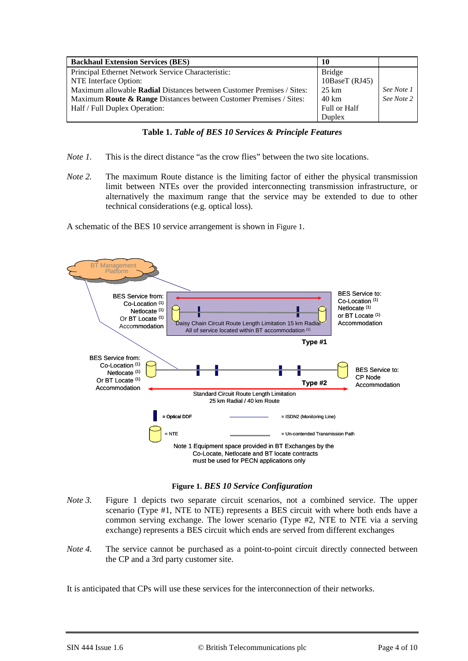| <b>Backhaul Extension Services (BES)</b>                                      | 10             |            |
|-------------------------------------------------------------------------------|----------------|------------|
| Principal Ethernet Network Service Characteristic:                            | <b>Bridge</b>  |            |
| NTE Interface Option:                                                         | 10BaseT (RJ45) |            |
| Maximum allowable <b>Radial</b> Distances between Customer Premises / Sites:  | 25 km          | See Note 1 |
| Maximum <b>Route &amp; Range</b> Distances between Customer Premises / Sites: | 40 km          | See Note 2 |
| Half / Full Duplex Operation:                                                 | Full or Half   |            |
|                                                                               | Duplex         |            |

- *Note 1.* This is the direct distance "as the crow flies" between the two site locations.
- *Note 2.* The maximum Route distance is the limiting factor of either the physical transmission limit between NTEs over the provided interconnecting transmission infrastructure, or alternatively the maximum range that the service may be extended to due to other technical considerations (e.g. optical loss).

A schematic of the BES 10 service arrangement is shown i[n Figure 1.](#page-3-0)



**Figure 1.** *BES 10 Service Configuration*

- <span id="page-3-0"></span>*Note 3.* Figure 1 depicts two separate circuit scenarios, not a combined service. The upper scenario (Type #1, NTE to NTE) represents a BES circuit with where both ends have a common serving exchange. The lower scenario (Type #2, NTE to NTE via a serving exchange) represents a BES circuit which ends are served from different exchanges
- *Note 4.* The service cannot be purchased as a point-to-point circuit directly connected between the CP and a 3rd party customer site.

It is anticipated that CPs will use these services for the interconnection of their networks.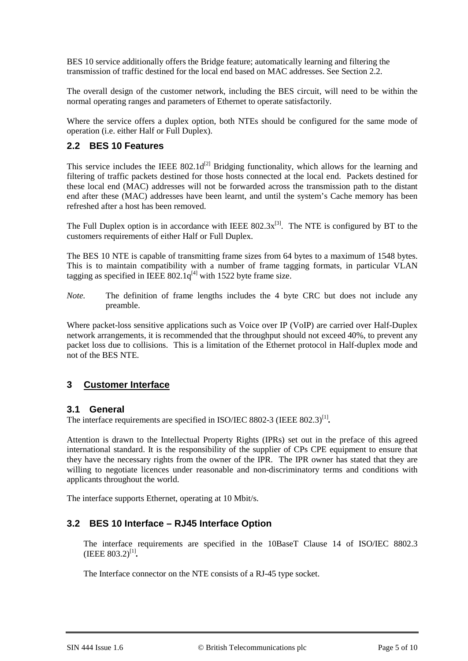BES 10 service additionally offers the Bridge feature; automatically learning and filtering the transmission of traffic destined for the local end based on MAC addresses. See Section 2.2.

The overall design of the customer network, including the BES circuit, will need to be within the normal operating ranges and parameters of Ethernet to operate satisfactorily.

Where the service offers a duplex option, both NTEs should be configured for the same mode of operation (i.e. either Half or Full Duplex).

## **2.2 BES 10 Features**

This service includes the IEEE  $802.1d^{[2]}$  Bridging functionality, which allows for the learning and filtering of traffic packets destined for those hosts connected at the local end. Packets destined for these local end (MAC) addresses will not be forwarded across the transmission path to the distant end after these (MAC) addresses have been learnt, and until the system's Cache memory has been refreshed after a host has been removed.

The Full Duplex option is in accordance with IEEE  $802.3x^{[3]}$ . The NTE is configured by BT to the customers requirements of either Half or Full Duplex.

The BES 10 NTE is capable of transmitting frame sizes from 64 bytes to a maximum of 1548 bytes. This is to maintain compatibility with a number of frame tagging formats, in particular VLAN tagging as specified in IEEE  $802.1q^{[4]}$  with 1522 byte frame size.

*Note.* The definition of frame lengths includes the 4 byte CRC but does not include any preamble.

Where packet-loss sensitive applications such as Voice over IP (VoIP) are carried over Half-Duplex network arrangements, it is recommended that the throughput should not exceed 40%, to prevent any packet loss due to collisions. This is a limitation of the Ethernet protocol in Half-duplex mode and not of the BES NTE.

## **3 Customer Interface**

## **3.1 General**

The interface requirements are specified in ISO/IEC 8802-3 (IEEE 802.3)<sup>[1]</sup>.

Attention is drawn to the Intellectual Property Rights (IPRs) set out in the preface of this agreed international standard. It is the responsibility of the supplier of CPs CPE equipment to ensure that they have the necessary rights from the owner of the IPR. The IPR owner has stated that they are willing to negotiate licences under reasonable and non-discriminatory terms and conditions with applicants throughout the world.

The interface supports Ethernet, operating at 10 Mbit/s.

## **3.2 BES 10 Interface – RJ45 Interface Option**

The interface requirements are specified in the 10BaseT Clause 14 of ISO/IEC 8802.3 (IEEE 803.2)<sup>[1]</sup>.

The Interface connector on the NTE consists of a RJ-45 type socket.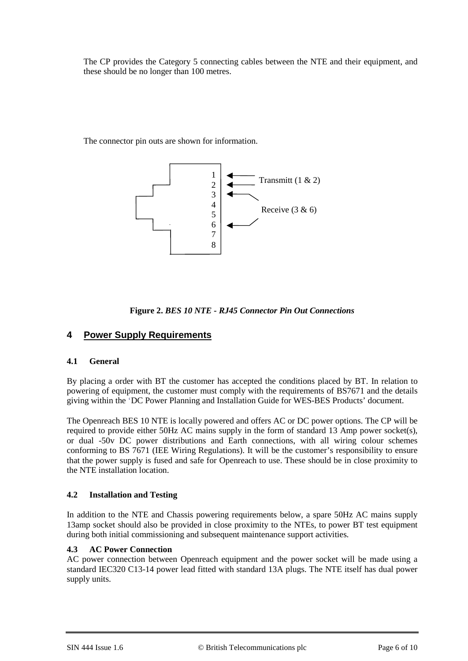The CP provides the Category 5 connecting cables between the NTE and their equipment, and these should be no longer than 100 metres.

The connector pin outs are shown for information.





# **4 Power Supply Requirements**

## **4.1 General**

By placing a order with BT the customer has accepted the conditions placed by BT. In relation to powering of equipment, the customer must comply with the requirements of BS7671 and the details giving within the 'DC Power Planning and Installation Guide for WES-BES Products' document.

The Openreach BES 10 NTE is locally powered and offers AC or DC power options. The CP will be required to provide either 50Hz AC mains supply in the form of standard 13 Amp power socket(s), or dual -50v DC power distributions and Earth connections, with all wiring colour schemes conforming to BS 7671 (IEE Wiring Regulations). It will be the customer's responsibility to ensure that the power supply is fused and safe for Openreach to use. These should be in close proximity to the NTE installation location.

## **4.2 Installation and Testing**

In addition to the NTE and Chassis powering requirements below, a spare 50Hz AC mains supply 13amp socket should also be provided in close proximity to the NTEs, to power BT test equipment during both initial commissioning and subsequent maintenance support activities.

## **4.3 AC Power Connection**

AC power connection between Openreach equipment and the power socket will be made using a standard IEC320 C13-14 power lead fitted with standard 13A plugs. The NTE itself has dual power supply units.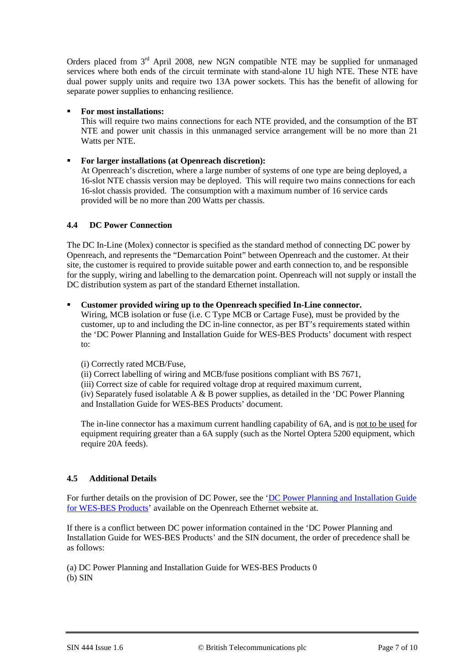Orders placed from  $3<sup>rd</sup>$  April 2008, new NGN compatible NTE may be supplied for unmanaged services where both ends of the circuit terminate with stand-alone 1U high NTE. These NTE have dual power supply units and require two 13A power sockets. This has the benefit of allowing for separate power supplies to enhancing resilience.

#### **For most installations:**

This will require two mains connections for each NTE provided, and the consumption of the BT NTE and power unit chassis in this unmanaged service arrangement will be no more than 21 Watts per NTE.

#### **For larger installations (at Openreach discretion):**

At Openreach's discretion, where a large number of systems of one type are being deployed, a 16-slot NTE chassis version may be deployed. This will require two mains connections for each 16-slot chassis provided. The consumption with a maximum number of 16 service cards provided will be no more than 200 Watts per chassis.

#### **4.4 DC Power Connection**

The DC In-Line (Molex) connector is specified as the standard method of connecting DC power by Openreach, and represents the "Demarcation Point" between Openreach and the customer. At their site, the customer is required to provide suitable power and earth connection to, and be responsible for the supply, wiring and labelling to the demarcation point. Openreach will not supply or install the DC distribution system as part of the standard Ethernet installation.

#### **Customer provided wiring up to the Openreach specified In-Line connector.**

Wiring, MCB isolation or fuse (i.e. C Type MCB or Cartage Fuse), must be provided by the customer, up to and including the DC in-line connector, as per BT's requirements stated within the 'DC Power Planning and Installation Guide for WES-BES Products' document with respect to:

#### (i) Correctly rated MCB/Fuse,

(ii) Correct labelling of wiring and MCB/fuse positions compliant with BS 7671,

(iii) Correct size of cable for required voltage drop at required maximum current,

(iv) Separately fused isolatable A  $\&$  B power supplies, as detailed in the 'DC Power Planning and Installation Guide for WES-BES Products' document.

The in-line connector has a maximum current handling capability of 6A, and is not to be used for equipment requiring greater than a 6A supply (such as the Nortel Optera 5200 equipment, which require 20A feeds).

## **4.5 Additional Details**

For further details on the provision of DC Power, see the 'DC Power Planning and Installation Guide [for WES-BES Products'](https://www.openreach.co.uk/orpg/home/newlogin.do?smauthreason=0&target=http%3A%2F%2Fwww.openreach.co.uk%2Forpg%2Fcustomerzone%2Fproducts%2Fethernetservices%2Fethernetaccessdirect%2Fdescription%2Fsupplementaryinformation%2Fsupplementaryinfo.do&fromMasterHead=1) available on the Openreach Ethernet website at.

If there is a conflict between DC power information contained in the 'DC Power Planning and Installation Guide for WES-BES Products' and the SIN document, the order of precedence shall be as follows:

(a) DC Power Planning and Installation Guide for WES-BES Products 0 (b) SIN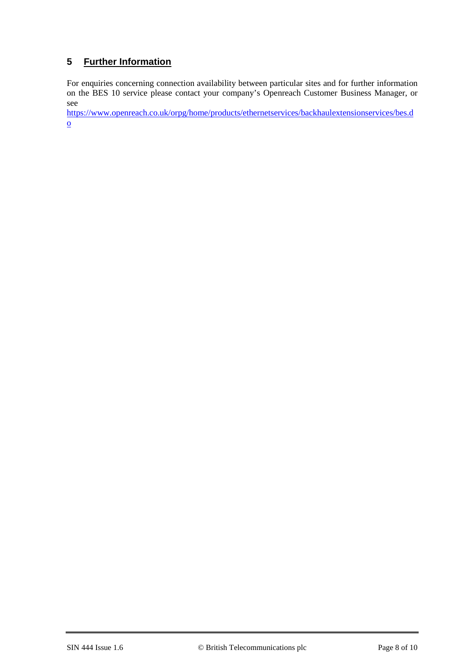# **5 Further Information**

For enquiries concerning connection availability between particular sites and for further information on the BES 10 service please contact your company's Openreach Customer Business Manager, or see

[https://www.openreach.co.uk/orpg/home/products/ethernetservices/backhaulextensionservices/bes.d](https://www.openreach.co.uk/orpg/home/products/ethernetservices/backhaulextensionservices/bes.do) [o](https://www.openreach.co.uk/orpg/home/products/ethernetservices/backhaulextensionservices/bes.do)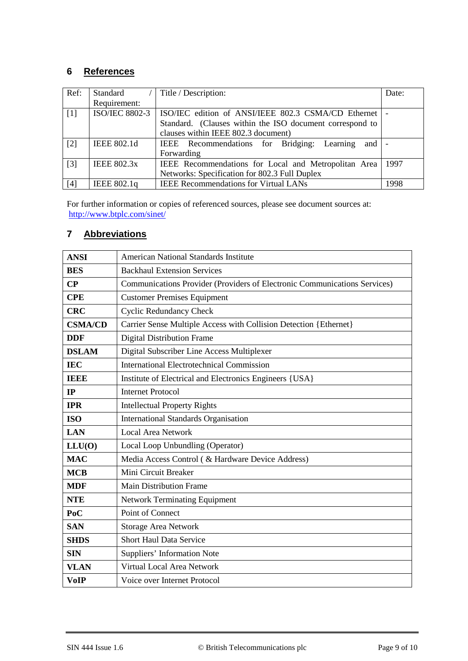# **6 References**

| Ref:  | Standard              | Title / Description:                                     | Date: |
|-------|-----------------------|----------------------------------------------------------|-------|
|       | Requirement:          |                                                          |       |
| $[1]$ | <b>ISO/IEC 8802-3</b> | ISO/IEC edition of ANSI/IEEE 802.3 CSMA/CD Ethernet      |       |
|       |                       | Standard. (Clauses within the ISO document correspond to |       |
|       |                       | clauses within IEEE 802.3 document)                      |       |
| $[2]$ | <b>IEEE 802.1d</b>    | IEEE Recommendations for Bridging: Learning<br>and 1     |       |
|       |                       | Forwarding                                               |       |
| $[3]$ | <b>IEEE 802.3x</b>    | IEEE Recommendations for Local and Metropolitan Area     | 1997  |
|       |                       | Networks: Specification for 802.3 Full Duplex            |       |
| [4]   | IEEE 802.1q           | <b>IEEE Recommendations for Virtual LANs</b>             | 1998  |

For further information or copies of referenced sources, please see document sources at: http://www.btplc.com/sinet/

# **7 Abbreviations**

| <b>ANSI</b>    | <b>American National Standards Institute</b>                              |
|----------------|---------------------------------------------------------------------------|
| <b>BES</b>     | <b>Backhaul Extension Services</b>                                        |
| $\bf CP$       | Communications Provider (Providers of Electronic Communications Services) |
| <b>CPE</b>     | <b>Customer Premises Equipment</b>                                        |
| <b>CRC</b>     | <b>Cyclic Redundancy Check</b>                                            |
| <b>CSMA/CD</b> | Carrier Sense Multiple Access with Collision Detection {Ethernet}         |
| <b>DDF</b>     | <b>Digital Distribution Frame</b>                                         |
| <b>DSLAM</b>   | Digital Subscriber Line Access Multiplexer                                |
| <b>IEC</b>     | <b>International Electrotechnical Commission</b>                          |
| <b>TEEP</b>    | Institute of Electrical and Electronics Engineers {USA}                   |
| IP             | <b>Internet Protocol</b>                                                  |
| <b>IPR</b>     | <b>Intellectual Property Rights</b>                                       |
| <b>ISO</b>     | <b>International Standards Organisation</b>                               |
| <b>LAN</b>     | <b>Local Area Network</b>                                                 |
| LLU(0)         | Local Loop Unbundling (Operator)                                          |
| <b>MAC</b>     | Media Access Control ( & Hardware Device Address)                         |
| <b>MCB</b>     | Mini Circuit Breaker                                                      |
| <b>MDF</b>     | <b>Main Distribution Frame</b>                                            |
| <b>NTE</b>     | <b>Network Terminating Equipment</b>                                      |
| PoC            | Point of Connect                                                          |
| <b>SAN</b>     | <b>Storage Area Network</b>                                               |
| <b>SHDS</b>    | <b>Short Haul Data Service</b>                                            |
| <b>SIN</b>     | <b>Suppliers' Information Note</b>                                        |
| <b>VLAN</b>    | Virtual Local Area Network                                                |
| <b>VoIP</b>    | Voice over Internet Protocol                                              |